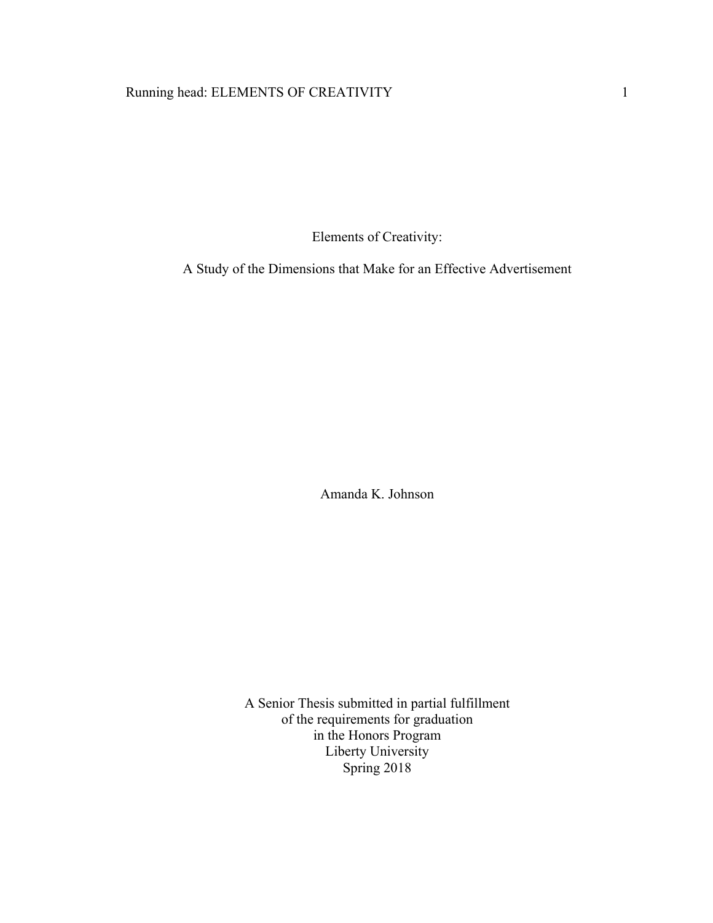# Running head: ELEMENTS OF CREATIVITY 1

Elements of Creativity:

A Study of the Dimensions that Make for an Effective Advertisement

Amanda K. Johnson

A Senior Thesis submitted in partial fulfillment of the requirements for graduation in the Honors Program Liberty University Spring 2018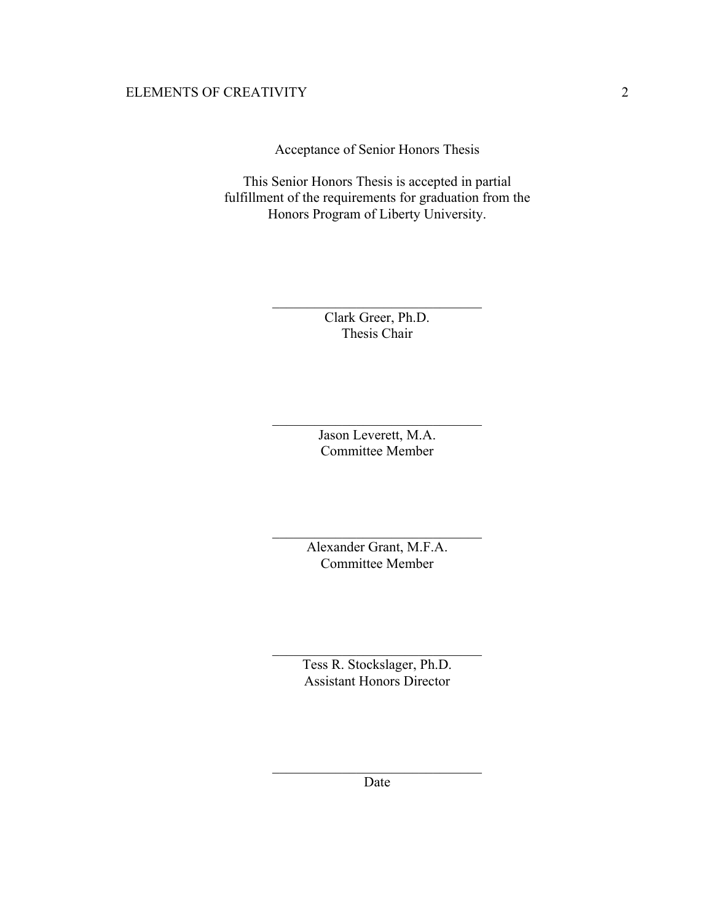Acceptance of Senior Honors Thesis

This Senior Honors Thesis is accepted in partial fulfillment of the requirements for graduation from the Honors Program of Liberty University.

> Clark Greer, Ph.D. Thesis Chair

 $\mathcal{L}_\text{max}$ 

Jason Leverett, M.A. Committee Member

 $\mathcal{L}_\text{max}$  , where  $\mathcal{L}_\text{max}$  and  $\mathcal{L}_\text{max}$  and  $\mathcal{L}_\text{max}$ 

Alexander Grant, M.F.A. Committee Member

 $\mathcal{L}_\text{max}$  , where  $\mathcal{L}_\text{max}$  and  $\mathcal{L}_\text{max}$  and  $\mathcal{L}_\text{max}$ 

Tess R. Stockslager, Ph.D. Assistant Honors Director

 $\mathcal{L}_\text{max}$  , where  $\mathcal{L}_\text{max}$  and  $\mathcal{L}_\text{max}$  and  $\mathcal{L}_\text{max}$ 

 $\mathcal{L}_\text{max}$  , where  $\mathcal{L}_\text{max}$  and  $\mathcal{L}_\text{max}$  and  $\mathcal{L}_\text{max}$ Date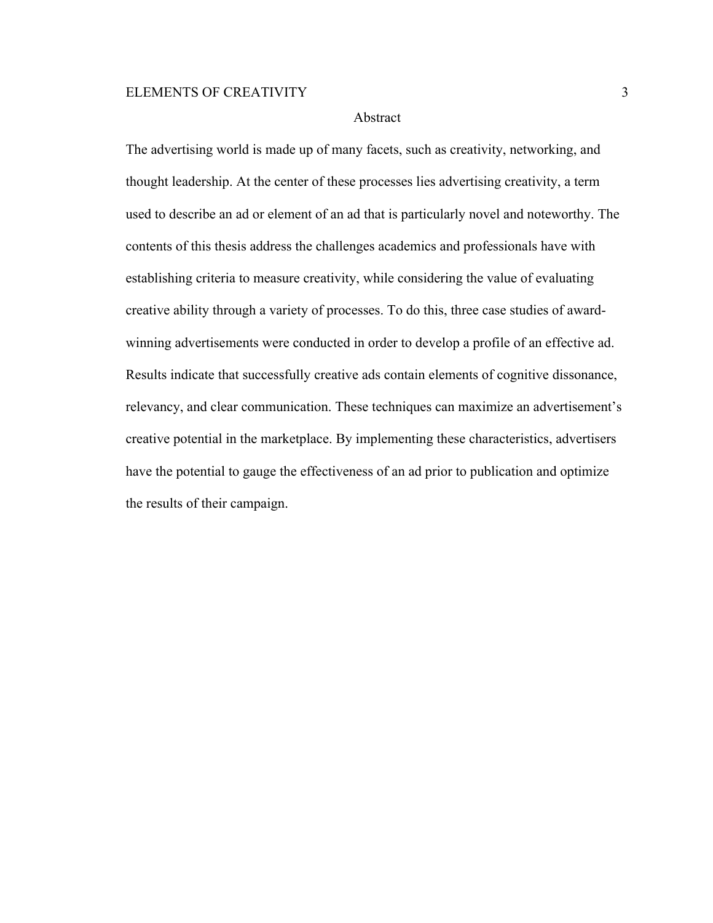# Abstract

The advertising world is made up of many facets, such as creativity, networking, and thought leadership. At the center of these processes lies advertising creativity, a term used to describe an ad or element of an ad that is particularly novel and noteworthy. The contents of this thesis address the challenges academics and professionals have with establishing criteria to measure creativity, while considering the value of evaluating creative ability through a variety of processes. To do this, three case studies of awardwinning advertisements were conducted in order to develop a profile of an effective ad. Results indicate that successfully creative ads contain elements of cognitive dissonance, relevancy, and clear communication. These techniques can maximize an advertisement's creative potential in the marketplace. By implementing these characteristics, advertisers have the potential to gauge the effectiveness of an ad prior to publication and optimize the results of their campaign.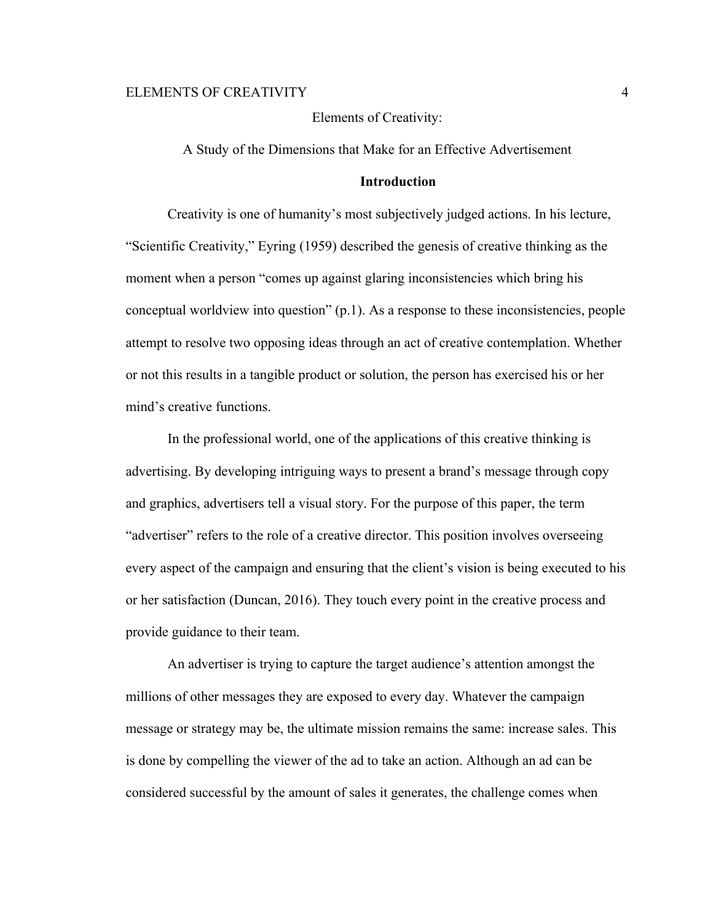Elements of Creativity:

A Study of the Dimensions that Make for an Effective Advertisement

### **Introduction**

Creativity is one of humanity's most subjectively judged actions. In his lecture, "Scientific Creativity," Eyring (1959) described the genesis of creative thinking as the moment when a person "comes up against glaring inconsistencies which bring his conceptual worldview into question" (p.1). As a response to these inconsistencies, people attempt to resolve two opposing ideas through an act of creative contemplation. Whether or not this results in a tangible product or solution, the person has exercised his or her mind's creative functions.

In the professional world, one of the applications of this creative thinking is advertising. By developing intriguing ways to present a brand's message through copy and graphics, advertisers tell a visual story. For the purpose of this paper, the term "advertiser" refers to the role of a creative director. This position involves overseeing every aspect of the campaign and ensuring that the client's vision is being executed to his or her satisfaction (Duncan, 2016). They touch every point in the creative process and provide guidance to their team.

An advertiser is trying to capture the target audience's attention amongst the millions of other messages they are exposed to every day. Whatever the campaign message or strategy may be, the ultimate mission remains the same: increase sales. This is done by compelling the viewer of the ad to take an action. Although an ad can be considered successful by the amount of sales it generates, the challenge comes when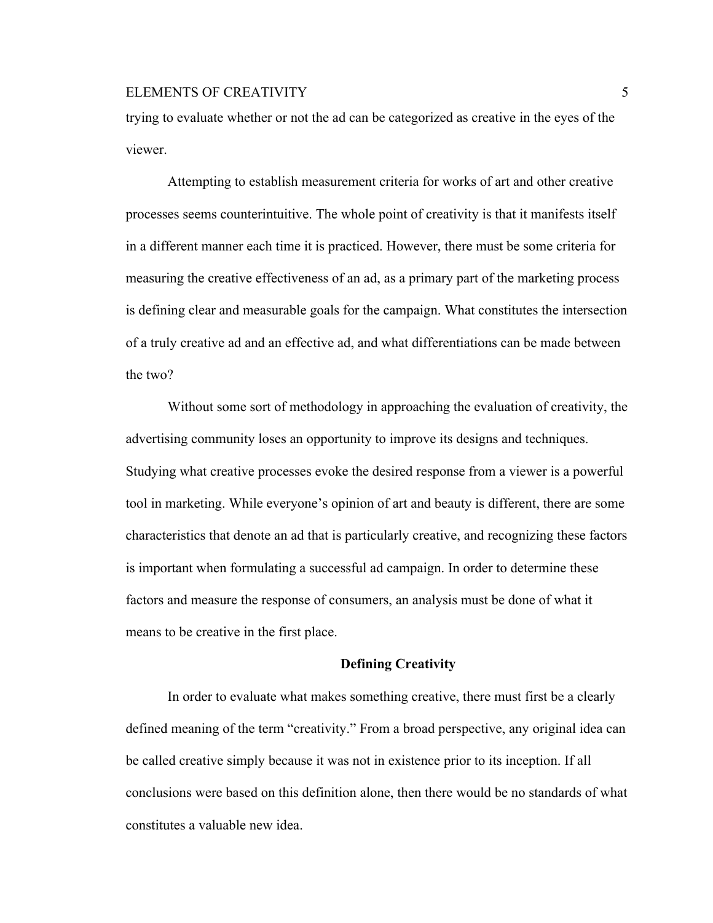trying to evaluate whether or not the ad can be categorized as creative in the eyes of the viewer.

Attempting to establish measurement criteria for works of art and other creative processes seems counterintuitive. The whole point of creativity is that it manifests itself in a different manner each time it is practiced. However, there must be some criteria for measuring the creative effectiveness of an ad, as a primary part of the marketing process is defining clear and measurable goals for the campaign. What constitutes the intersection of a truly creative ad and an effective ad, and what differentiations can be made between the two?

Without some sort of methodology in approaching the evaluation of creativity, the advertising community loses an opportunity to improve its designs and techniques. Studying what creative processes evoke the desired response from a viewer is a powerful tool in marketing. While everyone's opinion of art and beauty is different, there are some characteristics that denote an ad that is particularly creative, and recognizing these factors is important when formulating a successful ad campaign. In order to determine these factors and measure the response of consumers, an analysis must be done of what it means to be creative in the first place.

#### **Defining Creativity**

In order to evaluate what makes something creative, there must first be a clearly defined meaning of the term "creativity." From a broad perspective, any original idea can be called creative simply because it was not in existence prior to its inception. If all conclusions were based on this definition alone, then there would be no standards of what constitutes a valuable new idea.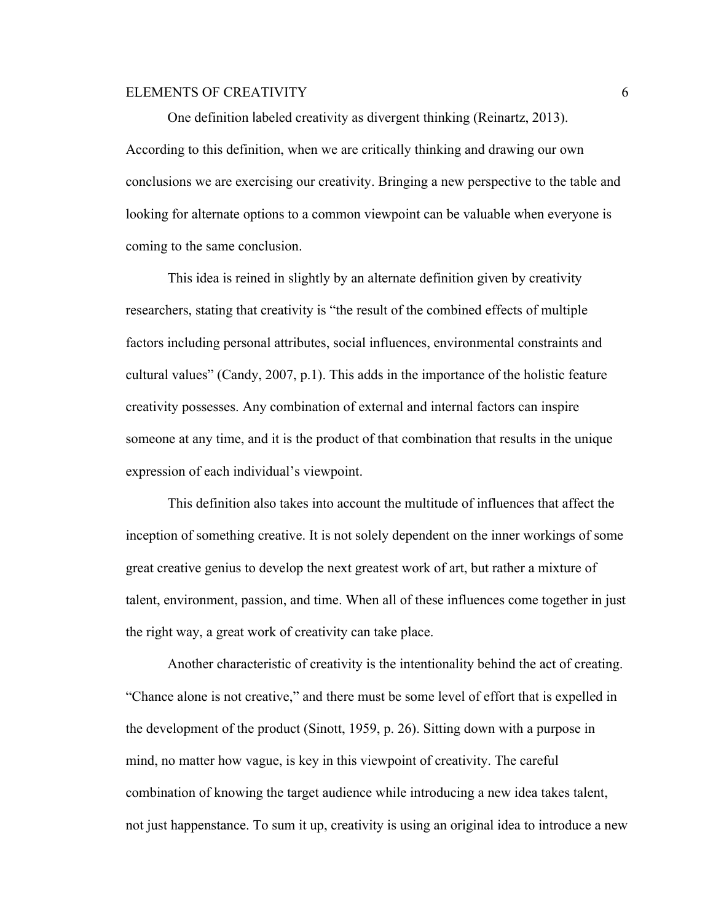One definition labeled creativity as divergent thinking (Reinartz, 2013). According to this definition, when we are critically thinking and drawing our own conclusions we are exercising our creativity. Bringing a new perspective to the table and looking for alternate options to a common viewpoint can be valuable when everyone is coming to the same conclusion.

This idea is reined in slightly by an alternate definition given by creativity researchers, stating that creativity is "the result of the combined effects of multiple factors including personal attributes, social influences, environmental constraints and cultural values" (Candy, 2007, p.1). This adds in the importance of the holistic feature creativity possesses. Any combination of external and internal factors can inspire someone at any time, and it is the product of that combination that results in the unique expression of each individual's viewpoint.

This definition also takes into account the multitude of influences that affect the inception of something creative. It is not solely dependent on the inner workings of some great creative genius to develop the next greatest work of art, but rather a mixture of talent, environment, passion, and time. When all of these influences come together in just the right way, a great work of creativity can take place.

Another characteristic of creativity is the intentionality behind the act of creating. "Chance alone is not creative," and there must be some level of effort that is expelled in the development of the product (Sinott, 1959, p. 26). Sitting down with a purpose in mind, no matter how vague, is key in this viewpoint of creativity. The careful combination of knowing the target audience while introducing a new idea takes talent, not just happenstance. To sum it up, creativity is using an original idea to introduce a new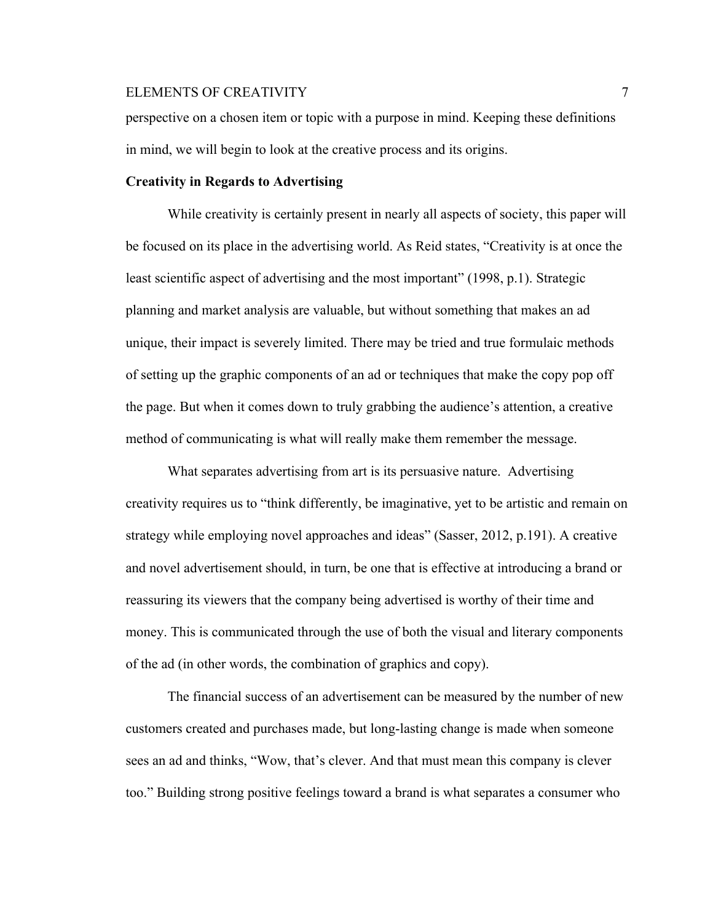perspective on a chosen item or topic with a purpose in mind. Keeping these definitions in mind, we will begin to look at the creative process and its origins.

### **Creativity in Regards to Advertising**

While creativity is certainly present in nearly all aspects of society, this paper will be focused on its place in the advertising world. As Reid states, "Creativity is at once the least scientific aspect of advertising and the most important" (1998, p.1). Strategic planning and market analysis are valuable, but without something that makes an ad unique, their impact is severely limited. There may be tried and true formulaic methods of setting up the graphic components of an ad or techniques that make the copy pop off the page. But when it comes down to truly grabbing the audience's attention, a creative method of communicating is what will really make them remember the message.

What separates advertising from art is its persuasive nature. Advertising creativity requires us to "think differently, be imaginative, yet to be artistic and remain on strategy while employing novel approaches and ideas" (Sasser, 2012, p.191). A creative and novel advertisement should, in turn, be one that is effective at introducing a brand or reassuring its viewers that the company being advertised is worthy of their time and money. This is communicated through the use of both the visual and literary components of the ad (in other words, the combination of graphics and copy).

The financial success of an advertisement can be measured by the number of new customers created and purchases made, but long-lasting change is made when someone sees an ad and thinks, "Wow, that's clever. And that must mean this company is clever too." Building strong positive feelings toward a brand is what separates a consumer who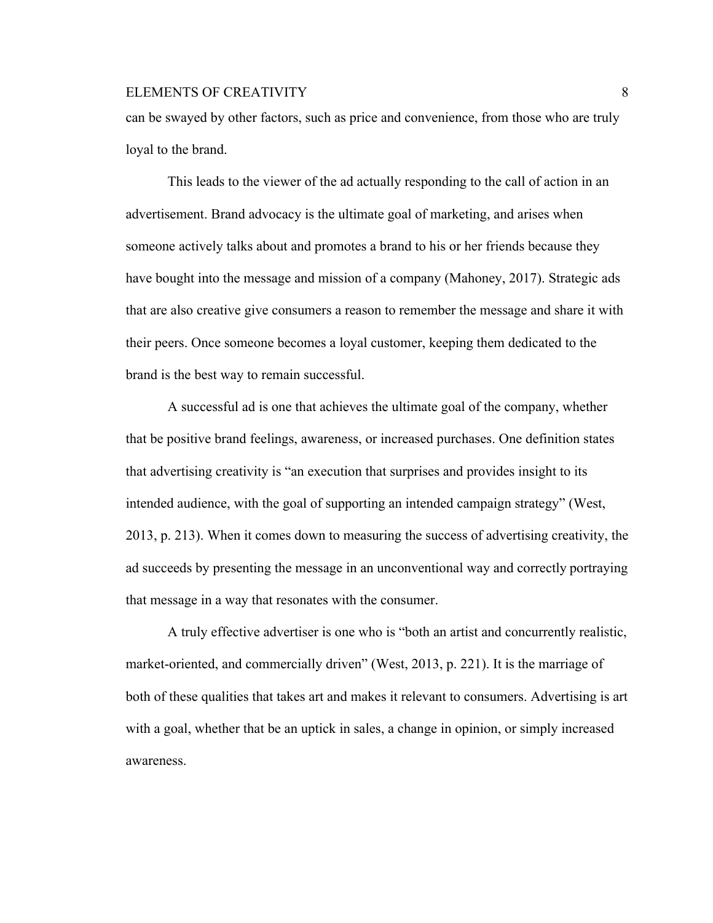can be swayed by other factors, such as price and convenience, from those who are truly loyal to the brand.

This leads to the viewer of the ad actually responding to the call of action in an advertisement. Brand advocacy is the ultimate goal of marketing, and arises when someone actively talks about and promotes a brand to his or her friends because they have bought into the message and mission of a company (Mahoney, 2017). Strategic ads that are also creative give consumers a reason to remember the message and share it with their peers. Once someone becomes a loyal customer, keeping them dedicated to the brand is the best way to remain successful.

A successful ad is one that achieves the ultimate goal of the company, whether that be positive brand feelings, awareness, or increased purchases. One definition states that advertising creativity is "an execution that surprises and provides insight to its intended audience, with the goal of supporting an intended campaign strategy" (West, 2013, p. 213). When it comes down to measuring the success of advertising creativity, the ad succeeds by presenting the message in an unconventional way and correctly portraying that message in a way that resonates with the consumer.

A truly effective advertiser is one who is "both an artist and concurrently realistic, market-oriented, and commercially driven" (West, 2013, p. 221). It is the marriage of both of these qualities that takes art and makes it relevant to consumers. Advertising is art with a goal, whether that be an uptick in sales, a change in opinion, or simply increased awareness.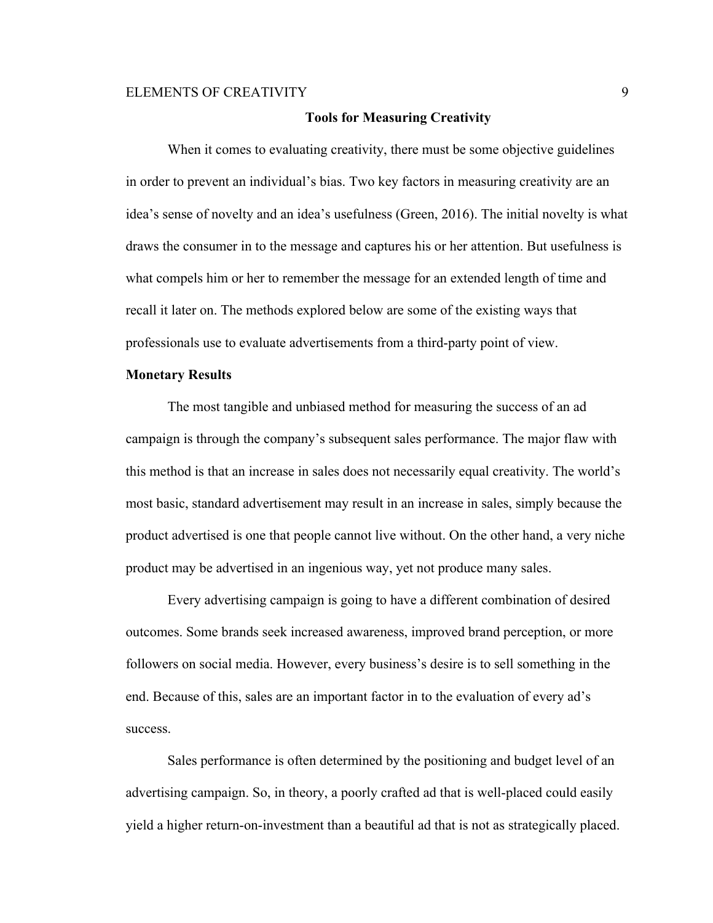### **Tools for Measuring Creativity**

When it comes to evaluating creativity, there must be some objective guidelines in order to prevent an individual's bias. Two key factors in measuring creativity are an idea's sense of novelty and an idea's usefulness (Green, 2016). The initial novelty is what draws the consumer in to the message and captures his or her attention. But usefulness is what compels him or her to remember the message for an extended length of time and recall it later on. The methods explored below are some of the existing ways that professionals use to evaluate advertisements from a third-party point of view.

# **Monetary Results**

The most tangible and unbiased method for measuring the success of an ad campaign is through the company's subsequent sales performance. The major flaw with this method is that an increase in sales does not necessarily equal creativity. The world's most basic, standard advertisement may result in an increase in sales, simply because the product advertised is one that people cannot live without. On the other hand, a very niche product may be advertised in an ingenious way, yet not produce many sales.

Every advertising campaign is going to have a different combination of desired outcomes. Some brands seek increased awareness, improved brand perception, or more followers on social media. However, every business's desire is to sell something in the end. Because of this, sales are an important factor in to the evaluation of every ad's success.

Sales performance is often determined by the positioning and budget level of an advertising campaign. So, in theory, a poorly crafted ad that is well-placed could easily yield a higher return-on-investment than a beautiful ad that is not as strategically placed.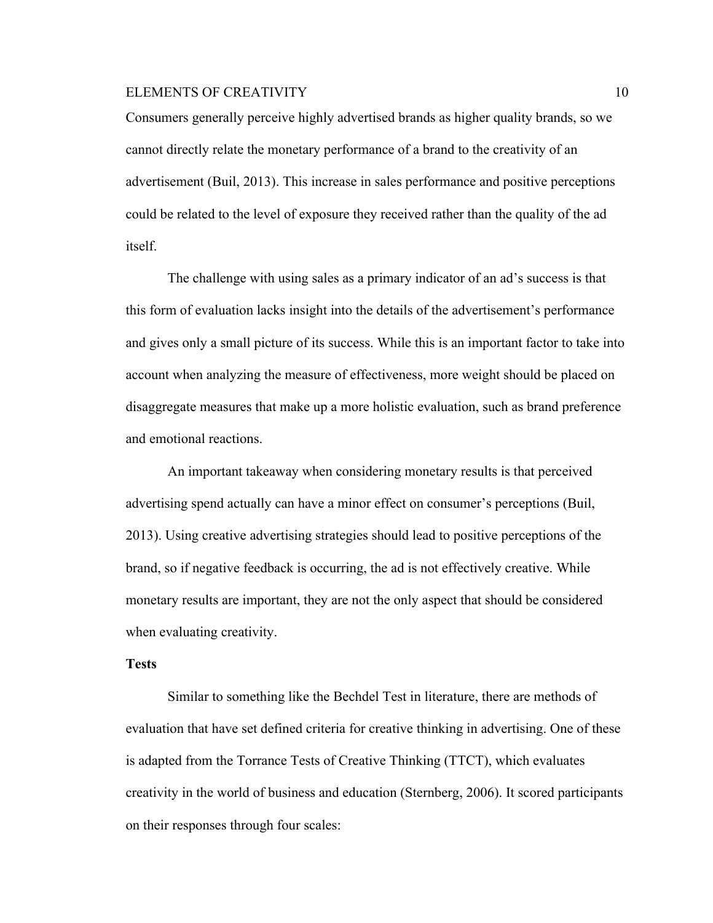Consumers generally perceive highly advertised brands as higher quality brands, so we cannot directly relate the monetary performance of a brand to the creativity of an advertisement (Buil, 2013). This increase in sales performance and positive perceptions could be related to the level of exposure they received rather than the quality of the ad itself.

The challenge with using sales as a primary indicator of an ad's success is that this form of evaluation lacks insight into the details of the advertisement's performance and gives only a small picture of its success. While this is an important factor to take into account when analyzing the measure of effectiveness, more weight should be placed on disaggregate measures that make up a more holistic evaluation, such as brand preference and emotional reactions.

An important takeaway when considering monetary results is that perceived advertising spend actually can have a minor effect on consumer's perceptions (Buil, 2013). Using creative advertising strategies should lead to positive perceptions of the brand, so if negative feedback is occurring, the ad is not effectively creative. While monetary results are important, they are not the only aspect that should be considered when evaluating creativity.

#### **Tests**

Similar to something like the Bechdel Test in literature, there are methods of evaluation that have set defined criteria for creative thinking in advertising. One of these is adapted from the Torrance Tests of Creative Thinking (TTCT), which evaluates creativity in the world of business and education (Sternberg, 2006). It scored participants on their responses through four scales: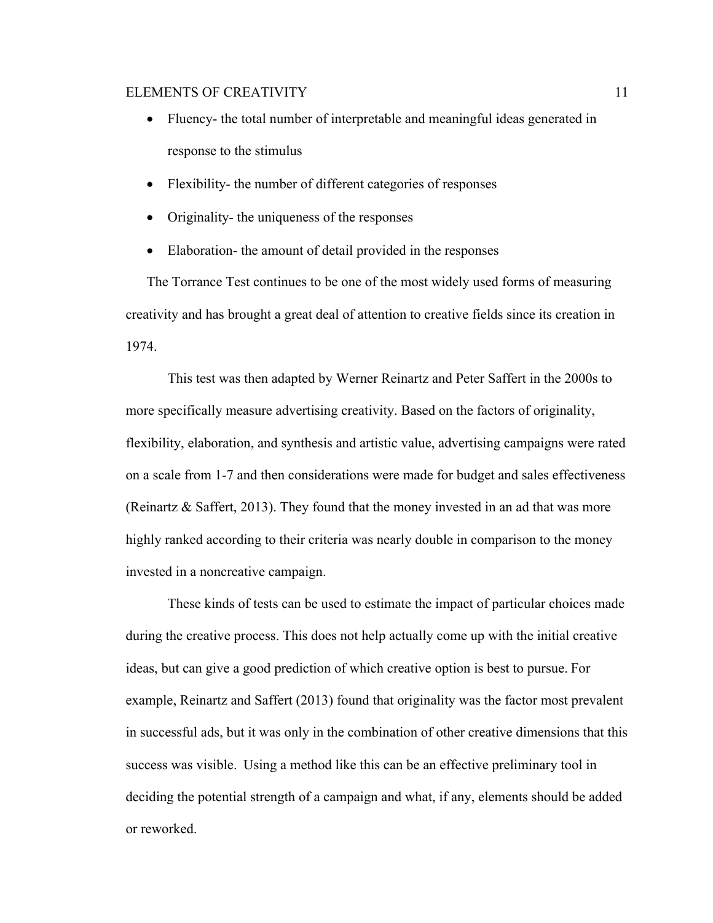- Fluency- the total number of interpretable and meaningful ideas generated in response to the stimulus
- Flexibility- the number of different categories of responses
- Originality- the uniqueness of the responses
- Elaboration- the amount of detail provided in the responses

The Torrance Test continues to be one of the most widely used forms of measuring creativity and has brought a great deal of attention to creative fields since its creation in 1974.

This test was then adapted by Werner Reinartz and Peter Saffert in the 2000s to more specifically measure advertising creativity. Based on the factors of originality, flexibility, elaboration, and synthesis and artistic value, advertising campaigns were rated on a scale from 1-7 and then considerations were made for budget and sales effectiveness (Reinartz & Saffert, 2013). They found that the money invested in an ad that was more highly ranked according to their criteria was nearly double in comparison to the money invested in a noncreative campaign.

These kinds of tests can be used to estimate the impact of particular choices made during the creative process. This does not help actually come up with the initial creative ideas, but can give a good prediction of which creative option is best to pursue. For example, Reinartz and Saffert (2013) found that originality was the factor most prevalent in successful ads, but it was only in the combination of other creative dimensions that this success was visible. Using a method like this can be an effective preliminary tool in deciding the potential strength of a campaign and what, if any, elements should be added or reworked.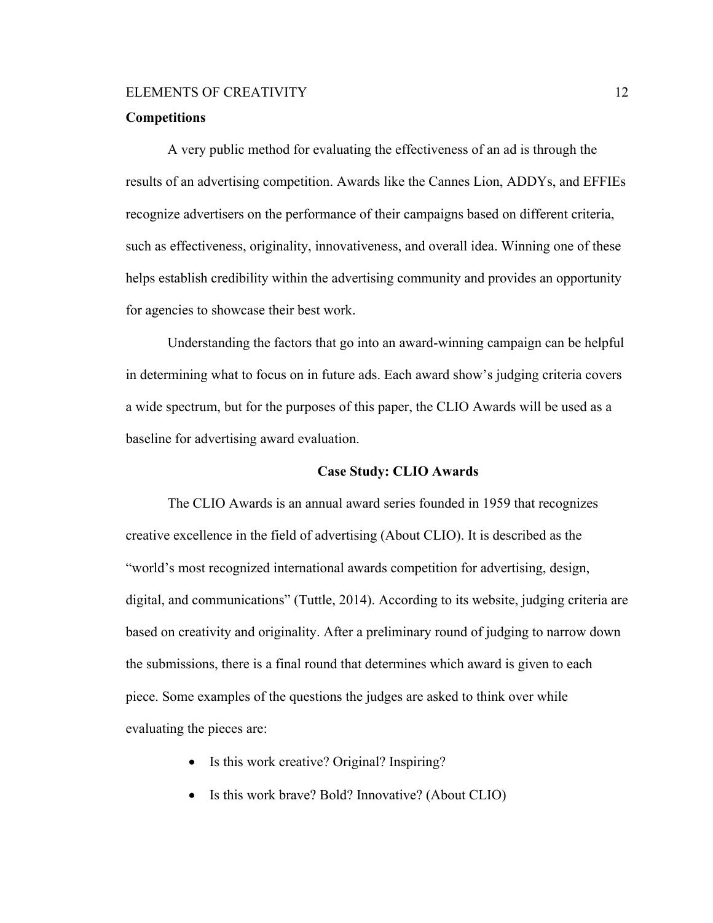### **Competitions**

A very public method for evaluating the effectiveness of an ad is through the results of an advertising competition. Awards like the Cannes Lion, ADDYs, and EFFIEs recognize advertisers on the performance of their campaigns based on different criteria, such as effectiveness, originality, innovativeness, and overall idea. Winning one of these helps establish credibility within the advertising community and provides an opportunity for agencies to showcase their best work.

Understanding the factors that go into an award-winning campaign can be helpful in determining what to focus on in future ads. Each award show's judging criteria covers a wide spectrum, but for the purposes of this paper, the CLIO Awards will be used as a baseline for advertising award evaluation.

### **Case Study: CLIO Awards**

The CLIO Awards is an annual award series founded in 1959 that recognizes creative excellence in the field of advertising (About CLIO). It is described as the "world's most recognized international awards competition for advertising, design, digital, and communications" (Tuttle, 2014). According to its website, judging criteria are based on creativity and originality. After a preliminary round of judging to narrow down the submissions, there is a final round that determines which award is given to each piece. Some examples of the questions the judges are asked to think over while evaluating the pieces are:

- Is this work creative? Original? Inspiring?
- Is this work brave? Bold? Innovative? (About CLIO)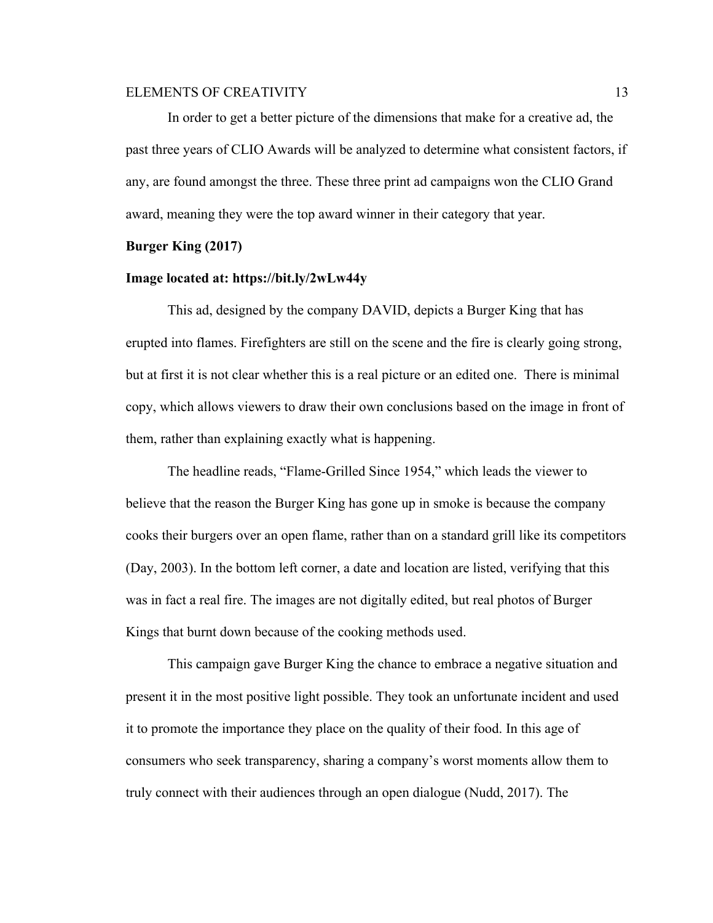In order to get a better picture of the dimensions that make for a creative ad, the past three years of CLIO Awards will be analyzed to determine what consistent factors, if any, are found amongst the three. These three print ad campaigns won the CLIO Grand award, meaning they were the top award winner in their category that year.

#### **Burger King (2017)**

# **Image located at: https://bit.ly/2wLw44y**

This ad, designed by the company DAVID, depicts a Burger King that has erupted into flames. Firefighters are still on the scene and the fire is clearly going strong, but at first it is not clear whether this is a real picture or an edited one. There is minimal copy, which allows viewers to draw their own conclusions based on the image in front of them, rather than explaining exactly what is happening.

The headline reads, "Flame-Grilled Since 1954," which leads the viewer to believe that the reason the Burger King has gone up in smoke is because the company cooks their burgers over an open flame, rather than on a standard grill like its competitors (Day, 2003). In the bottom left corner, a date and location are listed, verifying that this was in fact a real fire. The images are not digitally edited, but real photos of Burger Kings that burnt down because of the cooking methods used.

This campaign gave Burger King the chance to embrace a negative situation and present it in the most positive light possible. They took an unfortunate incident and used it to promote the importance they place on the quality of their food. In this age of consumers who seek transparency, sharing a company's worst moments allow them to truly connect with their audiences through an open dialogue (Nudd, 2017). The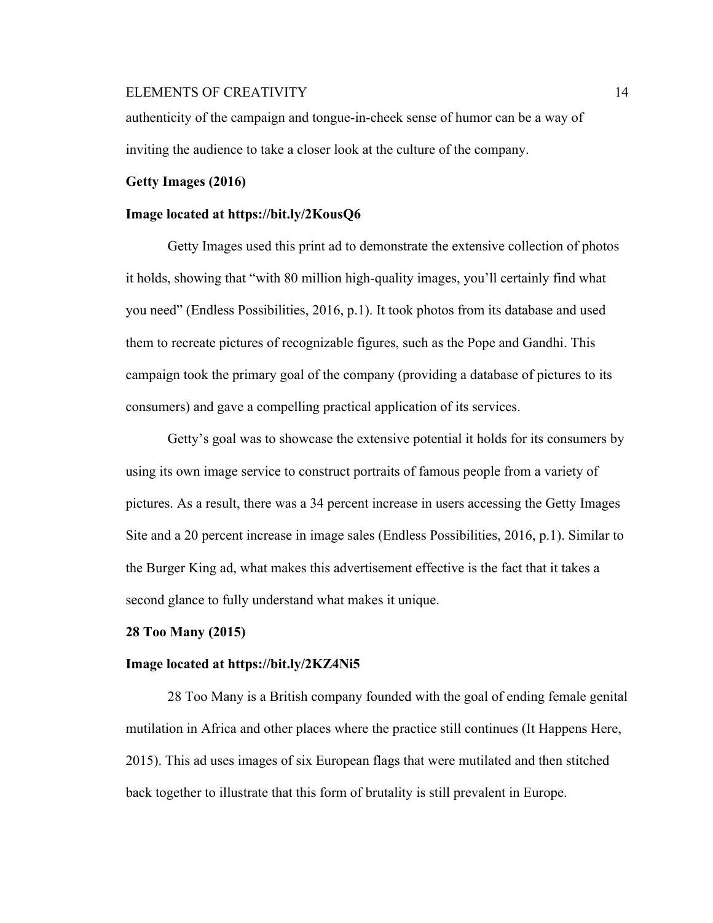authenticity of the campaign and tongue-in-cheek sense of humor can be a way of inviting the audience to take a closer look at the culture of the company.

#### **Getty Images (2016)**

#### **Image located at https://bit.ly/2KousQ6**

Getty Images used this print ad to demonstrate the extensive collection of photos it holds, showing that "with 80 million high-quality images, you'll certainly find what you need" (Endless Possibilities, 2016, p.1). It took photos from its database and used them to recreate pictures of recognizable figures, such as the Pope and Gandhi. This campaign took the primary goal of the company (providing a database of pictures to its consumers) and gave a compelling practical application of its services.

Getty's goal was to showcase the extensive potential it holds for its consumers by using its own image service to construct portraits of famous people from a variety of pictures. As a result, there was a 34 percent increase in users accessing the Getty Images Site and a 20 percent increase in image sales (Endless Possibilities, 2016, p.1). Similar to the Burger King ad, what makes this advertisement effective is the fact that it takes a second glance to fully understand what makes it unique.

#### **28 Too Many (2015)**

#### **Image located at https://bit.ly/2KZ4Ni5**

28 Too Many is a British company founded with the goal of ending female genital mutilation in Africa and other places where the practice still continues (It Happens Here, 2015). This ad uses images of six European flags that were mutilated and then stitched back together to illustrate that this form of brutality is still prevalent in Europe.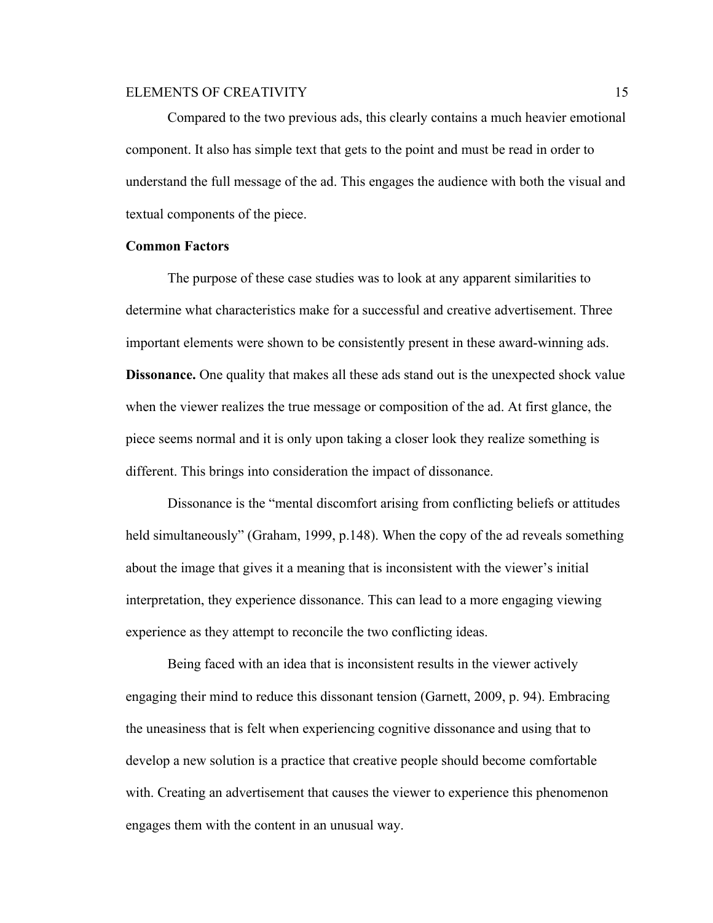Compared to the two previous ads, this clearly contains a much heavier emotional component. It also has simple text that gets to the point and must be read in order to understand the full message of the ad. This engages the audience with both the visual and textual components of the piece.

### **Common Factors**

The purpose of these case studies was to look at any apparent similarities to determine what characteristics make for a successful and creative advertisement. Three important elements were shown to be consistently present in these award-winning ads. **Dissonance.** One quality that makes all these ads stand out is the unexpected shock value when the viewer realizes the true message or composition of the ad. At first glance, the piece seems normal and it is only upon taking a closer look they realize something is different. This brings into consideration the impact of dissonance.

Dissonance is the "mental discomfort arising from conflicting beliefs or attitudes held simultaneously" (Graham, 1999, p.148). When the copy of the ad reveals something about the image that gives it a meaning that is inconsistent with the viewer's initial interpretation, they experience dissonance. This can lead to a more engaging viewing experience as they attempt to reconcile the two conflicting ideas.

Being faced with an idea that is inconsistent results in the viewer actively engaging their mind to reduce this dissonant tension (Garnett, 2009, p. 94). Embracing the uneasiness that is felt when experiencing cognitive dissonance and using that to develop a new solution is a practice that creative people should become comfortable with. Creating an advertisement that causes the viewer to experience this phenomenon engages them with the content in an unusual way.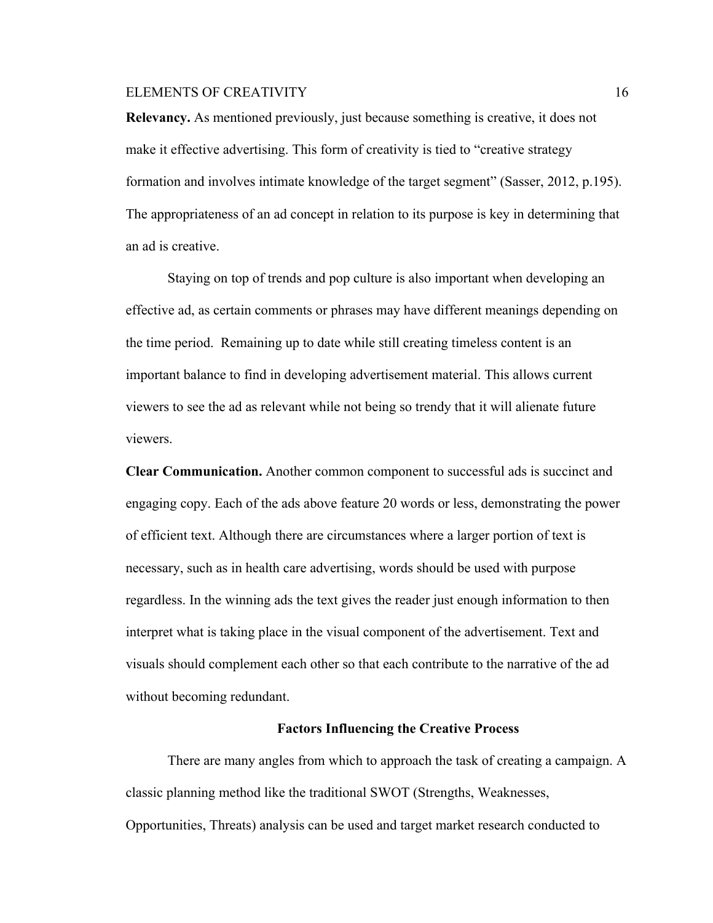**Relevancy.** As mentioned previously, just because something is creative, it does not make it effective advertising. This form of creativity is tied to "creative strategy formation and involves intimate knowledge of the target segment" (Sasser, 2012, p.195). The appropriateness of an ad concept in relation to its purpose is key in determining that an ad is creative.

Staying on top of trends and pop culture is also important when developing an effective ad, as certain comments or phrases may have different meanings depending on the time period. Remaining up to date while still creating timeless content is an important balance to find in developing advertisement material. This allows current viewers to see the ad as relevant while not being so trendy that it will alienate future viewers.

**Clear Communication.** Another common component to successful ads is succinct and engaging copy. Each of the ads above feature 20 words or less, demonstrating the power of efficient text. Although there are circumstances where a larger portion of text is necessary, such as in health care advertising, words should be used with purpose regardless. In the winning ads the text gives the reader just enough information to then interpret what is taking place in the visual component of the advertisement. Text and visuals should complement each other so that each contribute to the narrative of the ad without becoming redundant.

#### **Factors Influencing the Creative Process**

There are many angles from which to approach the task of creating a campaign. A classic planning method like the traditional SWOT (Strengths, Weaknesses, Opportunities, Threats) analysis can be used and target market research conducted to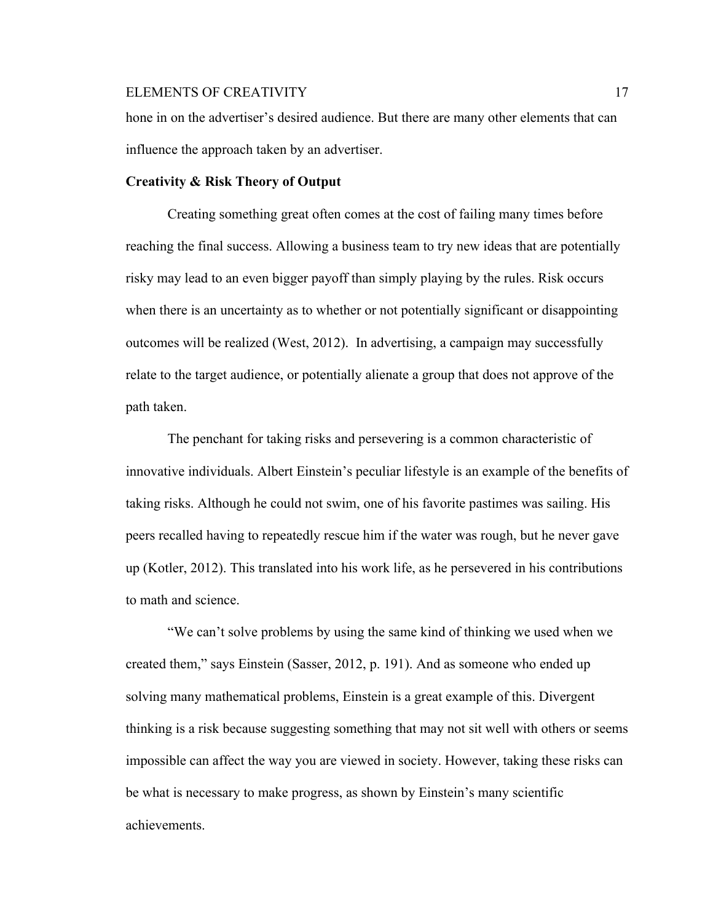hone in on the advertiser's desired audience. But there are many other elements that can influence the approach taken by an advertiser.

# **Creativity & Risk Theory of Output**

Creating something great often comes at the cost of failing many times before reaching the final success. Allowing a business team to try new ideas that are potentially risky may lead to an even bigger payoff than simply playing by the rules. Risk occurs when there is an uncertainty as to whether or not potentially significant or disappointing outcomes will be realized (West, 2012). In advertising, a campaign may successfully relate to the target audience, or potentially alienate a group that does not approve of the path taken.

The penchant for taking risks and persevering is a common characteristic of innovative individuals. Albert Einstein's peculiar lifestyle is an example of the benefits of taking risks. Although he could not swim, one of his favorite pastimes was sailing. His peers recalled having to repeatedly rescue him if the water was rough, but he never gave up (Kotler, 2012). This translated into his work life, as he persevered in his contributions to math and science.

"We can't solve problems by using the same kind of thinking we used when we created them," says Einstein (Sasser, 2012, p. 191). And as someone who ended up solving many mathematical problems, Einstein is a great example of this. Divergent thinking is a risk because suggesting something that may not sit well with others or seems impossible can affect the way you are viewed in society. However, taking these risks can be what is necessary to make progress, as shown by Einstein's many scientific achievements.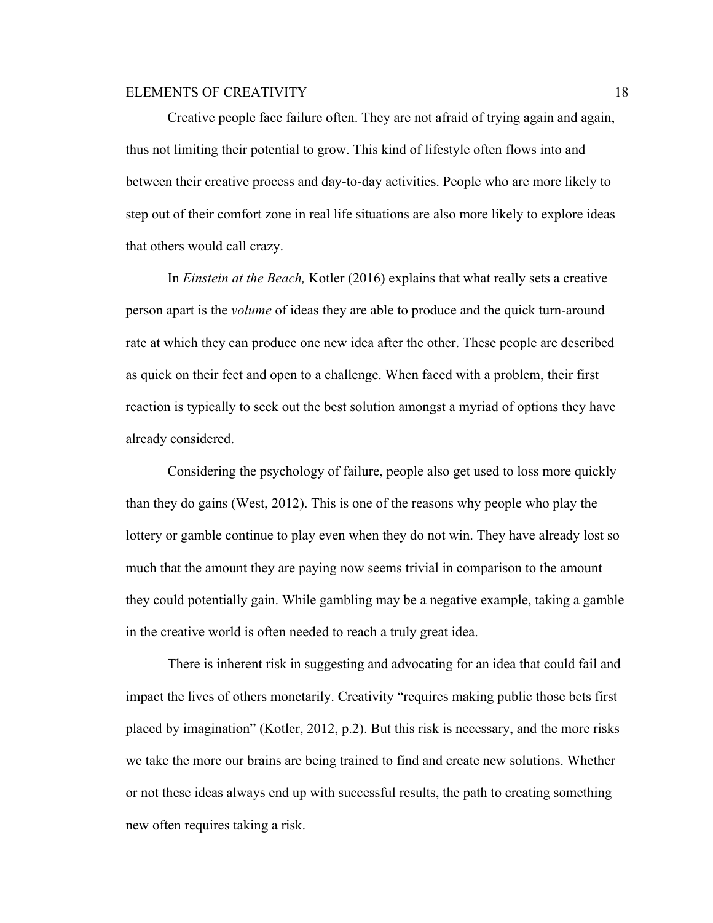Creative people face failure often. They are not afraid of trying again and again, thus not limiting their potential to grow. This kind of lifestyle often flows into and between their creative process and day-to-day activities. People who are more likely to step out of their comfort zone in real life situations are also more likely to explore ideas that others would call crazy.

In *Einstein at the Beach,* Kotler (2016) explains that what really sets a creative person apart is the *volume* of ideas they are able to produce and the quick turn-around rate at which they can produce one new idea after the other. These people are described as quick on their feet and open to a challenge. When faced with a problem, their first reaction is typically to seek out the best solution amongst a myriad of options they have already considered.

Considering the psychology of failure, people also get used to loss more quickly than they do gains (West, 2012). This is one of the reasons why people who play the lottery or gamble continue to play even when they do not win. They have already lost so much that the amount they are paying now seems trivial in comparison to the amount they could potentially gain. While gambling may be a negative example, taking a gamble in the creative world is often needed to reach a truly great idea.

There is inherent risk in suggesting and advocating for an idea that could fail and impact the lives of others monetarily. Creativity "requires making public those bets first placed by imagination" (Kotler, 2012, p.2). But this risk is necessary, and the more risks we take the more our brains are being trained to find and create new solutions. Whether or not these ideas always end up with successful results, the path to creating something new often requires taking a risk.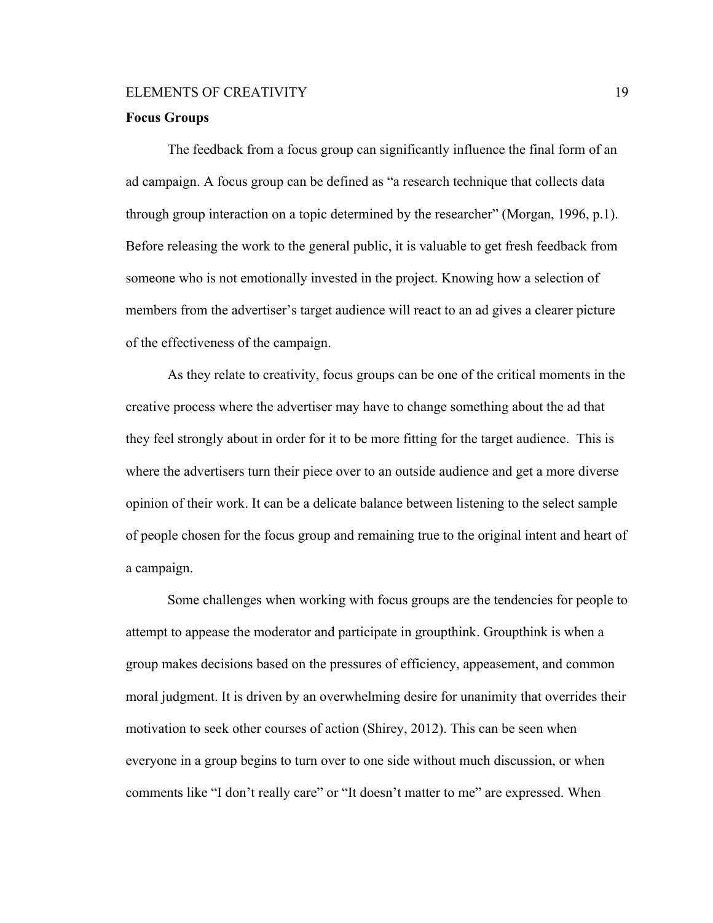### **Focus Groups**

The feedback from a focus group can significantly influence the final form of an ad campaign. A focus group can be defined as "a research technique that collects data through group interaction on a topic determined by the researcher" (Morgan, 1996, p.1). Before releasing the work to the general public, it is valuable to get fresh feedback from someone who is not emotionally invested in the project. Knowing how a selection of members from the advertiser's target audience will react to an ad gives a clearer picture of the effectiveness of the campaign.

As they relate to creativity, focus groups can be one of the critical moments in the creative process where the advertiser may have to change something about the ad that they feel strongly about in order for it to be more fitting for the target audience. This is where the advertisers turn their piece over to an outside audience and get a more diverse opinion of their work. It can be a delicate balance between listening to the select sample of people chosen for the focus group and remaining true to the original intent and heart of a campaign.

Some challenges when working with focus groups are the tendencies for people to attempt to appease the moderator and participate in groupthink. Groupthink is when a group makes decisions based on the pressures of efficiency, appeasement, and common moral judgment. It is driven by an overwhelming desire for unanimity that overrides their motivation to seek other courses of action (Shirey, 2012). This can be seen when everyone in a group begins to turn over to one side without much discussion, or when comments like "I don't really care" or "It doesn't matter to me" are expressed. When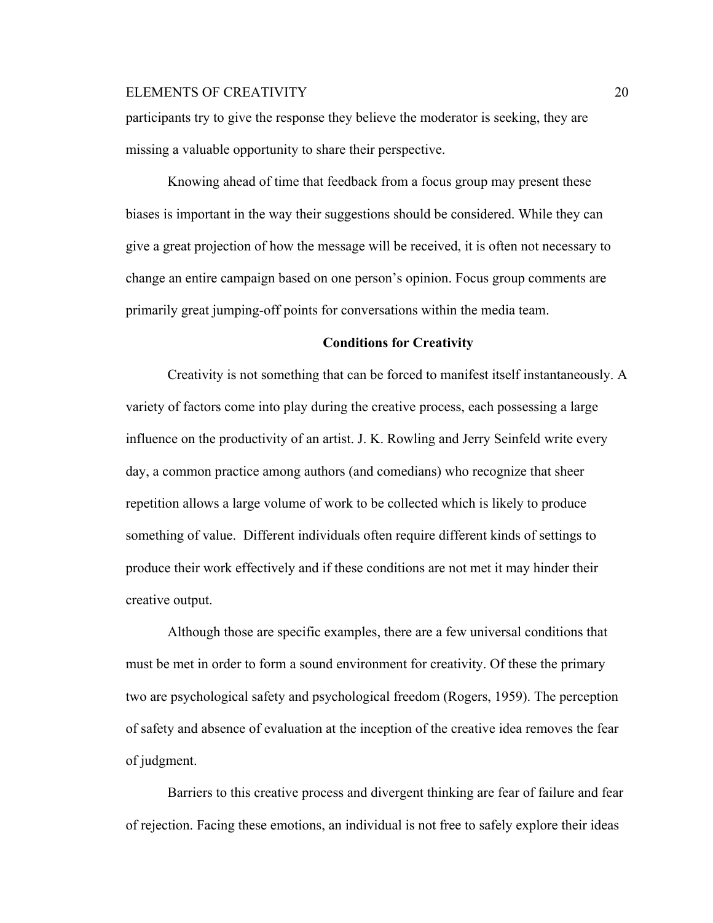participants try to give the response they believe the moderator is seeking, they are missing a valuable opportunity to share their perspective.

Knowing ahead of time that feedback from a focus group may present these biases is important in the way their suggestions should be considered. While they can give a great projection of how the message will be received, it is often not necessary to change an entire campaign based on one person's opinion. Focus group comments are primarily great jumping-off points for conversations within the media team.

### **Conditions for Creativity**

Creativity is not something that can be forced to manifest itself instantaneously. A variety of factors come into play during the creative process, each possessing a large influence on the productivity of an artist. J. K. Rowling and Jerry Seinfeld write every day, a common practice among authors (and comedians) who recognize that sheer repetition allows a large volume of work to be collected which is likely to produce something of value. Different individuals often require different kinds of settings to produce their work effectively and if these conditions are not met it may hinder their creative output.

Although those are specific examples, there are a few universal conditions that must be met in order to form a sound environment for creativity. Of these the primary two are psychological safety and psychological freedom (Rogers, 1959). The perception of safety and absence of evaluation at the inception of the creative idea removes the fear of judgment.

Barriers to this creative process and divergent thinking are fear of failure and fear of rejection. Facing these emotions, an individual is not free to safely explore their ideas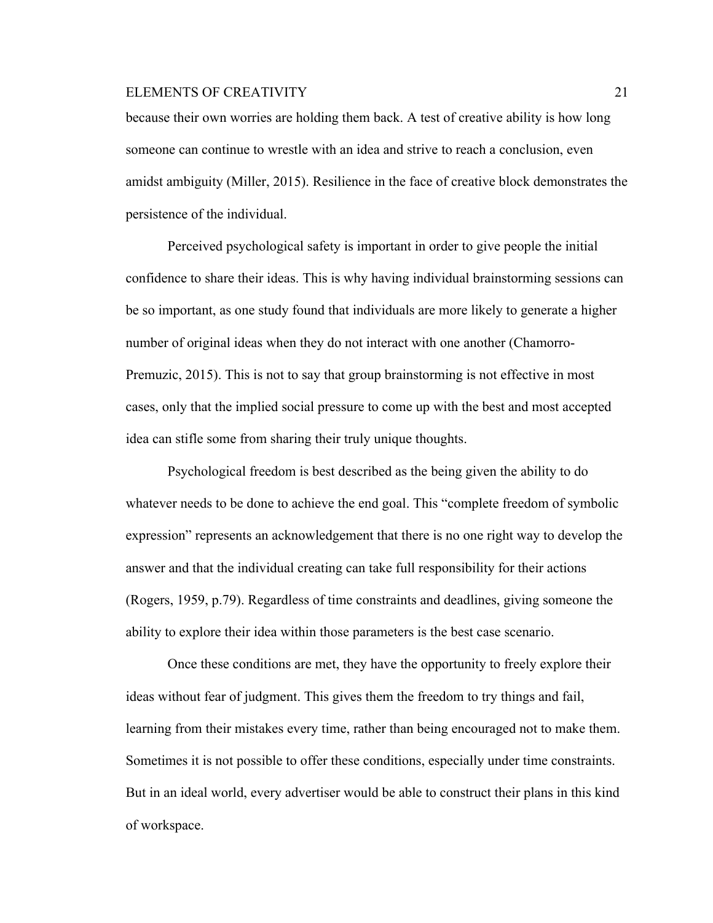because their own worries are holding them back. A test of creative ability is how long someone can continue to wrestle with an idea and strive to reach a conclusion, even amidst ambiguity (Miller, 2015). Resilience in the face of creative block demonstrates the persistence of the individual.

Perceived psychological safety is important in order to give people the initial confidence to share their ideas. This is why having individual brainstorming sessions can be so important, as one study found that individuals are more likely to generate a higher number of original ideas when they do not interact with one another (Chamorro-Premuzic, 2015). This is not to say that group brainstorming is not effective in most cases, only that the implied social pressure to come up with the best and most accepted idea can stifle some from sharing their truly unique thoughts.

Psychological freedom is best described as the being given the ability to do whatever needs to be done to achieve the end goal. This "complete freedom of symbolic expression" represents an acknowledgement that there is no one right way to develop the answer and that the individual creating can take full responsibility for their actions (Rogers, 1959, p.79). Regardless of time constraints and deadlines, giving someone the ability to explore their idea within those parameters is the best case scenario.

Once these conditions are met, they have the opportunity to freely explore their ideas without fear of judgment. This gives them the freedom to try things and fail, learning from their mistakes every time, rather than being encouraged not to make them. Sometimes it is not possible to offer these conditions, especially under time constraints. But in an ideal world, every advertiser would be able to construct their plans in this kind of workspace.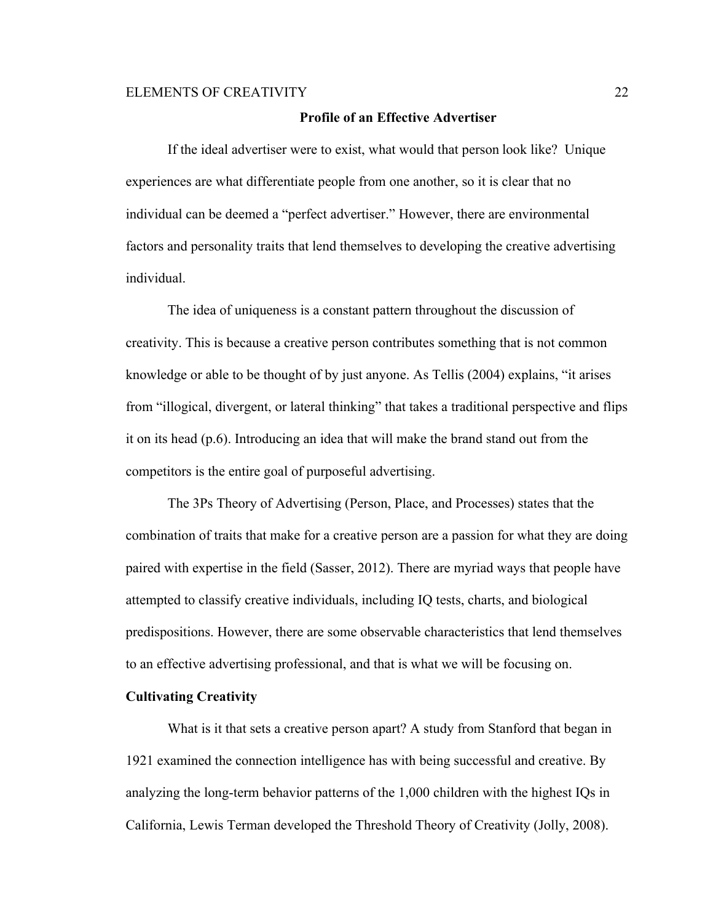#### **Profile of an Effective Advertiser**

If the ideal advertiser were to exist, what would that person look like? Unique experiences are what differentiate people from one another, so it is clear that no individual can be deemed a "perfect advertiser." However, there are environmental factors and personality traits that lend themselves to developing the creative advertising individual.

The idea of uniqueness is a constant pattern throughout the discussion of creativity. This is because a creative person contributes something that is not common knowledge or able to be thought of by just anyone. As Tellis (2004) explains, "it arises from "illogical, divergent, or lateral thinking" that takes a traditional perspective and flips it on its head (p.6). Introducing an idea that will make the brand stand out from the competitors is the entire goal of purposeful advertising.

The 3Ps Theory of Advertising (Person, Place, and Processes) states that the combination of traits that make for a creative person are a passion for what they are doing paired with expertise in the field (Sasser, 2012). There are myriad ways that people have attempted to classify creative individuals, including IQ tests, charts, and biological predispositions. However, there are some observable characteristics that lend themselves to an effective advertising professional, and that is what we will be focusing on.

### **Cultivating Creativity**

What is it that sets a creative person apart? A study from Stanford that began in 1921 examined the connection intelligence has with being successful and creative. By analyzing the long-term behavior patterns of the 1,000 children with the highest IQs in California, Lewis Terman developed the Threshold Theory of Creativity (Jolly, 2008).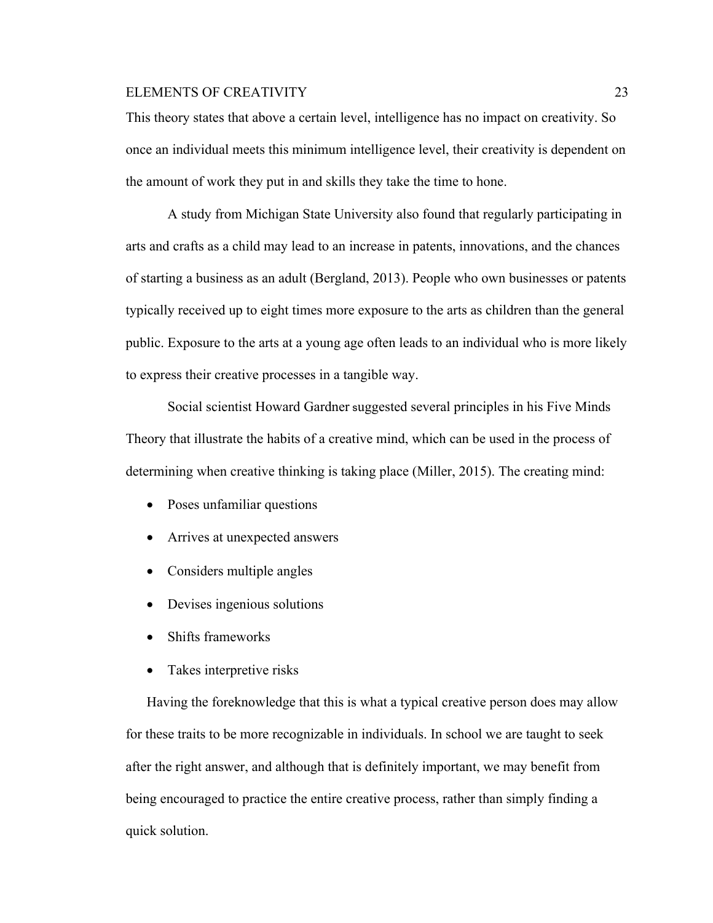This theory states that above a certain level, intelligence has no impact on creativity. So once an individual meets this minimum intelligence level, their creativity is dependent on the amount of work they put in and skills they take the time to hone.

A study from Michigan State University also found that regularly participating in arts and crafts as a child may lead to an increase in patents, innovations, and the chances of starting a business as an adult (Bergland, 2013). People who own businesses or patents typically received up to eight times more exposure to the arts as children than the general public. Exposure to the arts at a young age often leads to an individual who is more likely to express their creative processes in a tangible way.

Social scientist Howard Gardner suggested several principles in his Five Minds Theory that illustrate the habits of a creative mind, which can be used in the process of determining when creative thinking is taking place (Miller, 2015). The creating mind:

- Poses unfamiliar questions
- Arrives at unexpected answers
- Considers multiple angles
- Devises ingenious solutions
- Shifts frameworks
- Takes interpretive risks

Having the foreknowledge that this is what a typical creative person does may allow for these traits to be more recognizable in individuals. In school we are taught to seek after the right answer, and although that is definitely important, we may benefit from being encouraged to practice the entire creative process, rather than simply finding a quick solution.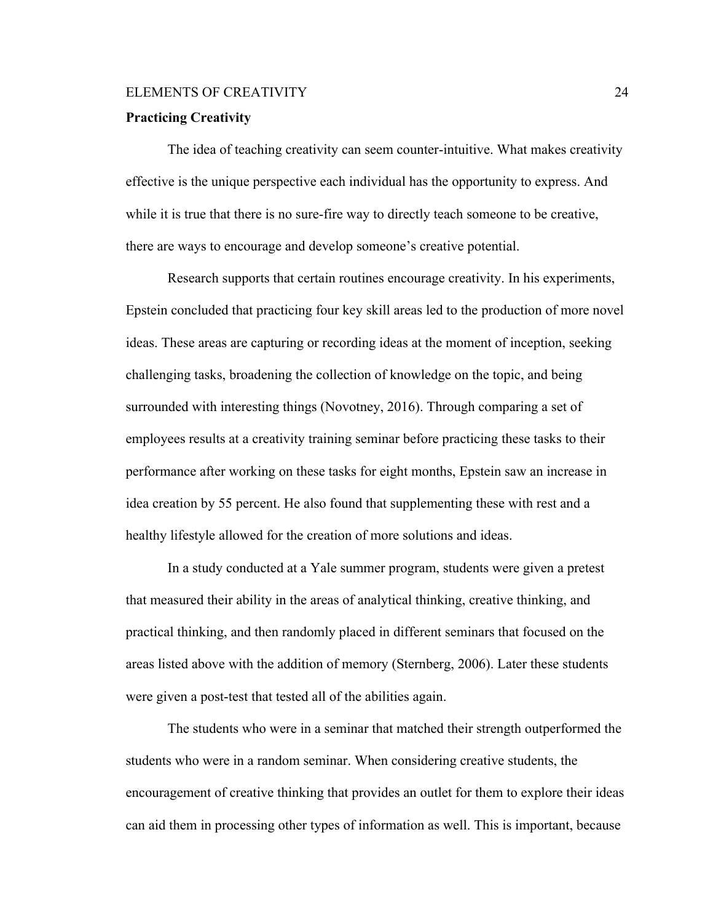### **Practicing Creativity**

The idea of teaching creativity can seem counter-intuitive. What makes creativity effective is the unique perspective each individual has the opportunity to express. And while it is true that there is no sure-fire way to directly teach someone to be creative, there are ways to encourage and develop someone's creative potential.

Research supports that certain routines encourage creativity. In his experiments, Epstein concluded that practicing four key skill areas led to the production of more novel ideas. These areas are capturing or recording ideas at the moment of inception, seeking challenging tasks, broadening the collection of knowledge on the topic, and being surrounded with interesting things (Novotney, 2016). Through comparing a set of employees results at a creativity training seminar before practicing these tasks to their performance after working on these tasks for eight months, Epstein saw an increase in idea creation by 55 percent. He also found that supplementing these with rest and a healthy lifestyle allowed for the creation of more solutions and ideas.

In a study conducted at a Yale summer program, students were given a pretest that measured their ability in the areas of analytical thinking, creative thinking, and practical thinking, and then randomly placed in different seminars that focused on the areas listed above with the addition of memory (Sternberg, 2006). Later these students were given a post-test that tested all of the abilities again.

The students who were in a seminar that matched their strength outperformed the students who were in a random seminar. When considering creative students, the encouragement of creative thinking that provides an outlet for them to explore their ideas can aid them in processing other types of information as well. This is important, because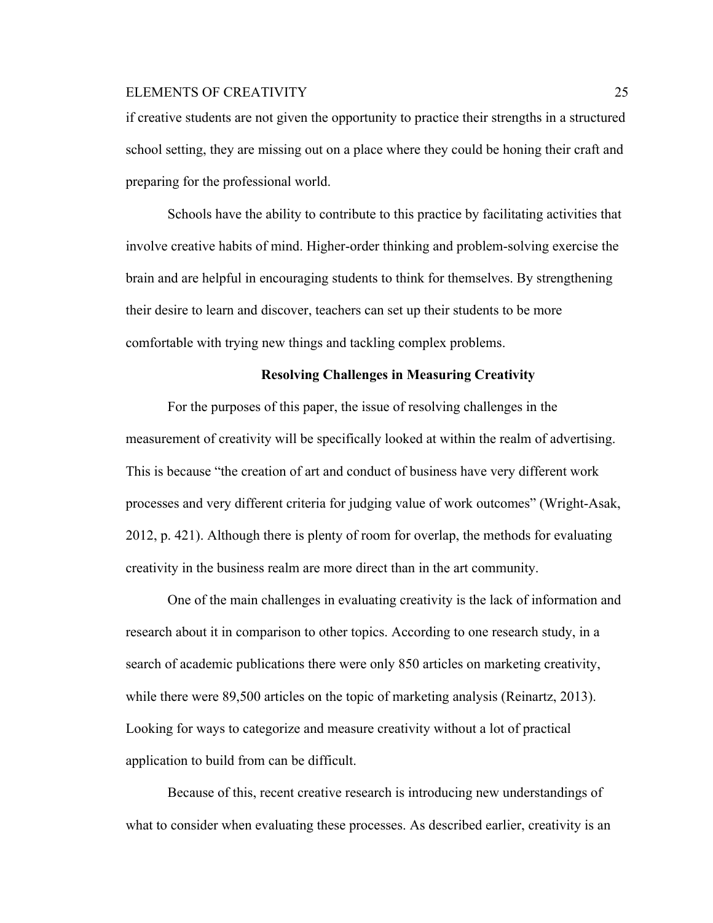if creative students are not given the opportunity to practice their strengths in a structured school setting, they are missing out on a place where they could be honing their craft and preparing for the professional world.

Schools have the ability to contribute to this practice by facilitating activities that involve creative habits of mind. Higher-order thinking and problem-solving exercise the brain and are helpful in encouraging students to think for themselves. By strengthening their desire to learn and discover, teachers can set up their students to be more comfortable with trying new things and tackling complex problems.

#### **Resolving Challenges in Measuring Creativity**

For the purposes of this paper, the issue of resolving challenges in the measurement of creativity will be specifically looked at within the realm of advertising. This is because "the creation of art and conduct of business have very different work processes and very different criteria for judging value of work outcomes" (Wright-Asak, 2012, p. 421). Although there is plenty of room for overlap, the methods for evaluating creativity in the business realm are more direct than in the art community.

One of the main challenges in evaluating creativity is the lack of information and research about it in comparison to other topics. According to one research study, in a search of academic publications there were only 850 articles on marketing creativity, while there were 89,500 articles on the topic of marketing analysis (Reinartz, 2013). Looking for ways to categorize and measure creativity without a lot of practical application to build from can be difficult.

Because of this, recent creative research is introducing new understandings of what to consider when evaluating these processes. As described earlier, creativity is an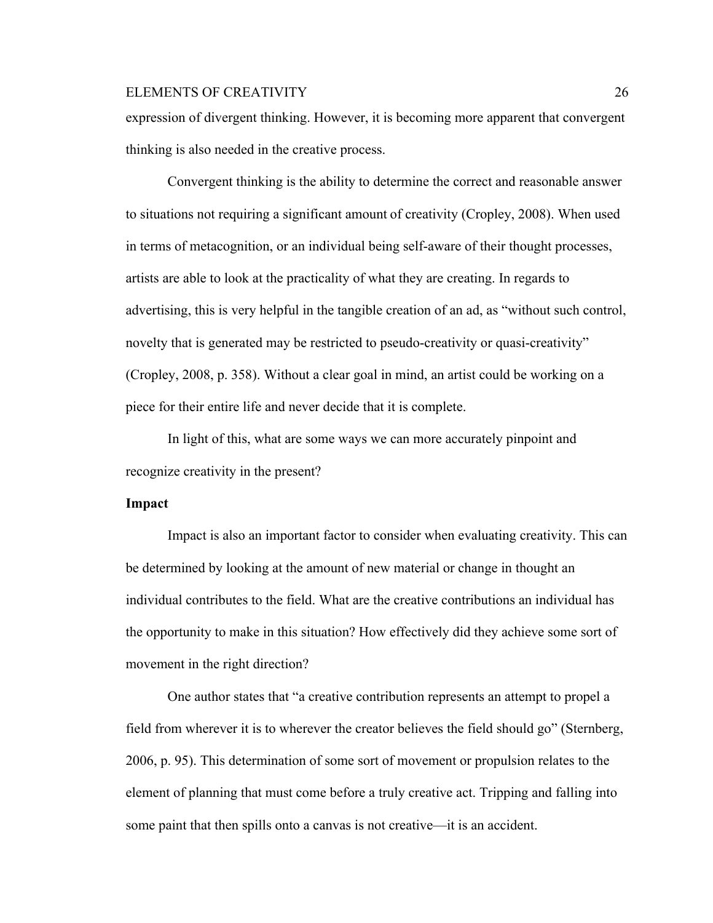expression of divergent thinking. However, it is becoming more apparent that convergent thinking is also needed in the creative process.

Convergent thinking is the ability to determine the correct and reasonable answer to situations not requiring a significant amount of creativity (Cropley, 2008). When used in terms of metacognition, or an individual being self-aware of their thought processes, artists are able to look at the practicality of what they are creating. In regards to advertising, this is very helpful in the tangible creation of an ad, as "without such control, novelty that is generated may be restricted to pseudo-creativity or quasi-creativity" (Cropley, 2008, p. 358). Without a clear goal in mind, an artist could be working on a piece for their entire life and never decide that it is complete.

In light of this, what are some ways we can more accurately pinpoint and recognize creativity in the present?

### **Impact**

Impact is also an important factor to consider when evaluating creativity. This can be determined by looking at the amount of new material or change in thought an individual contributes to the field. What are the creative contributions an individual has the opportunity to make in this situation? How effectively did they achieve some sort of movement in the right direction?

One author states that "a creative contribution represents an attempt to propel a field from wherever it is to wherever the creator believes the field should go" (Sternberg, 2006, p. 95). This determination of some sort of movement or propulsion relates to the element of planning that must come before a truly creative act. Tripping and falling into some paint that then spills onto a canvas is not creative—it is an accident.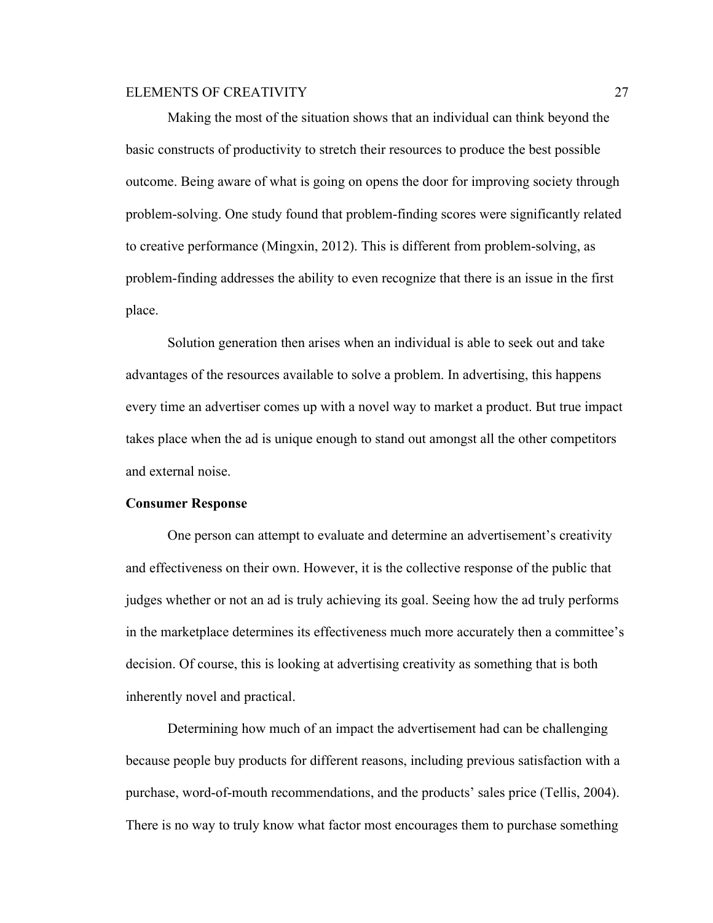Making the most of the situation shows that an individual can think beyond the basic constructs of productivity to stretch their resources to produce the best possible outcome. Being aware of what is going on opens the door for improving society through problem-solving. One study found that problem-finding scores were significantly related to creative performance (Mingxin, 2012). This is different from problem-solving, as problem-finding addresses the ability to even recognize that there is an issue in the first place.

Solution generation then arises when an individual is able to seek out and take advantages of the resources available to solve a problem. In advertising, this happens every time an advertiser comes up with a novel way to market a product. But true impact takes place when the ad is unique enough to stand out amongst all the other competitors and external noise.

### **Consumer Response**

One person can attempt to evaluate and determine an advertisement's creativity and effectiveness on their own. However, it is the collective response of the public that judges whether or not an ad is truly achieving its goal. Seeing how the ad truly performs in the marketplace determines its effectiveness much more accurately then a committee's decision. Of course, this is looking at advertising creativity as something that is both inherently novel and practical.

Determining how much of an impact the advertisement had can be challenging because people buy products for different reasons, including previous satisfaction with a purchase, word-of-mouth recommendations, and the products' sales price (Tellis, 2004). There is no way to truly know what factor most encourages them to purchase something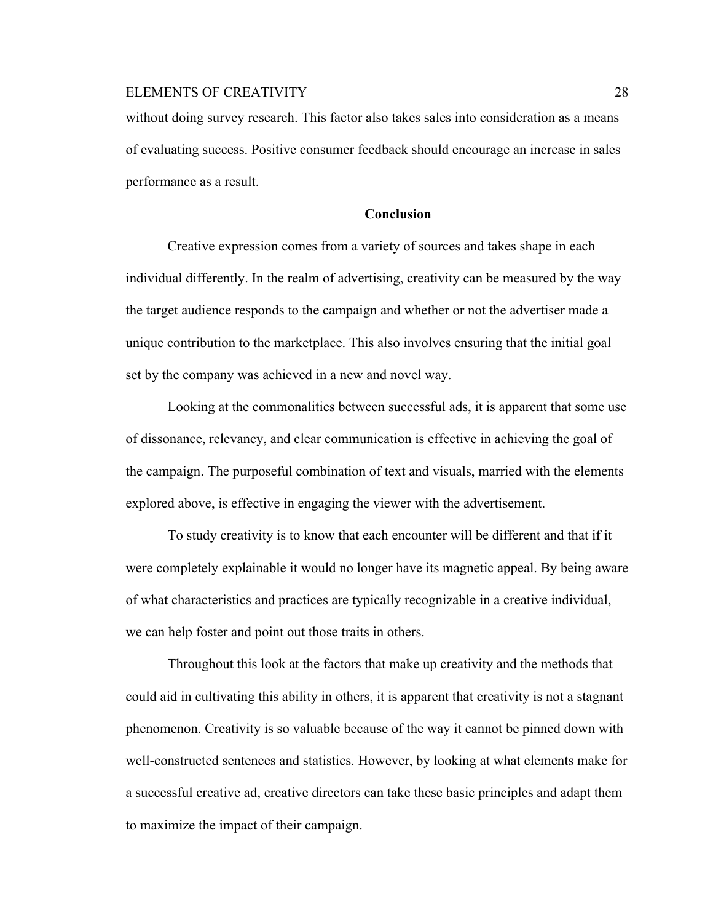without doing survey research. This factor also takes sales into consideration as a means of evaluating success. Positive consumer feedback should encourage an increase in sales performance as a result.

### **Conclusion**

Creative expression comes from a variety of sources and takes shape in each individual differently. In the realm of advertising, creativity can be measured by the way the target audience responds to the campaign and whether or not the advertiser made a unique contribution to the marketplace. This also involves ensuring that the initial goal set by the company was achieved in a new and novel way.

Looking at the commonalities between successful ads, it is apparent that some use of dissonance, relevancy, and clear communication is effective in achieving the goal of the campaign. The purposeful combination of text and visuals, married with the elements explored above, is effective in engaging the viewer with the advertisement.

To study creativity is to know that each encounter will be different and that if it were completely explainable it would no longer have its magnetic appeal. By being aware of what characteristics and practices are typically recognizable in a creative individual, we can help foster and point out those traits in others.

Throughout this look at the factors that make up creativity and the methods that could aid in cultivating this ability in others, it is apparent that creativity is not a stagnant phenomenon. Creativity is so valuable because of the way it cannot be pinned down with well-constructed sentences and statistics. However, by looking at what elements make for a successful creative ad, creative directors can take these basic principles and adapt them to maximize the impact of their campaign.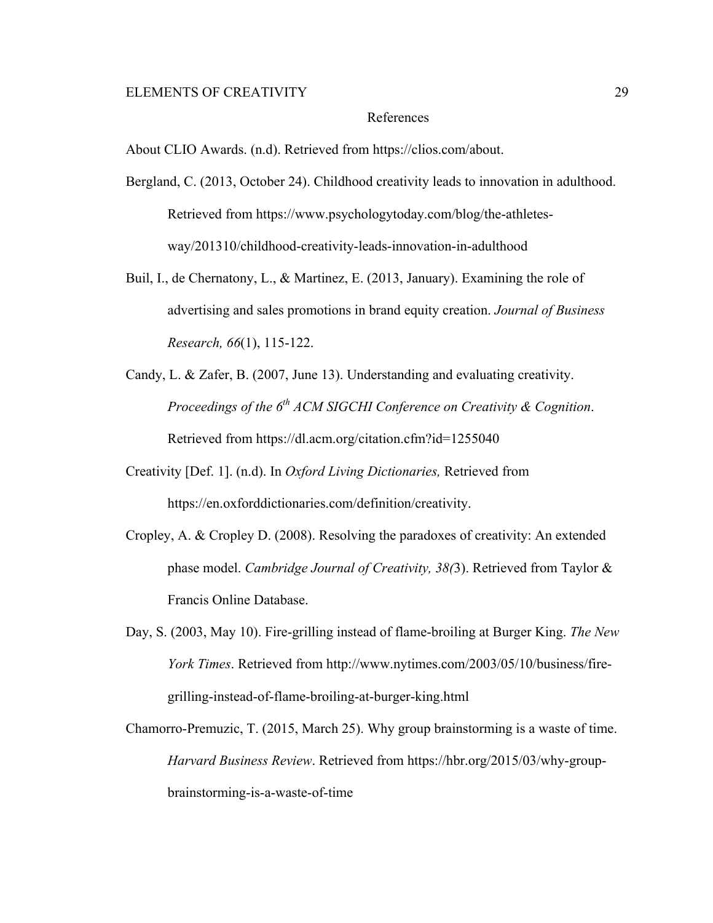#### References

About CLIO Awards. (n.d). Retrieved from https://clios.com/about.

- Bergland, C. (2013, October 24). Childhood creativity leads to innovation in adulthood. Retrieved from https://www.psychologytoday.com/blog/the-athletesway/201310/childhood-creativity-leads-innovation-in-adulthood
- Buil, I., de Chernatony, L., & Martinez, E. (2013, January). Examining the role of advertising and sales promotions in brand equity creation. *Journal of Business Research, 66*(1), 115-122.
- Candy, L. & Zafer, B. (2007, June 13). Understanding and evaluating creativity. *Proceedings of the 6th ACM SIGCHI Conference on Creativity & Cognition*. Retrieved from https://dl.acm.org/citation.cfm?id=1255040
- Creativity [Def. 1]. (n.d). In *Oxford Living Dictionaries,* Retrieved from https://en.oxforddictionaries.com/definition/creativity.
- Cropley, A. & Cropley D. (2008). Resolving the paradoxes of creativity: An extended phase model. *Cambridge Journal of Creativity, 38(*3). Retrieved from Taylor & Francis Online Database.
- Day, S. (2003, May 10). Fire-grilling instead of flame-broiling at Burger King. *The New York Times*. Retrieved from http://www.nytimes.com/2003/05/10/business/firegrilling-instead-of-flame-broiling-at-burger-king.html

Chamorro-Premuzic, T. (2015, March 25). Why group brainstorming is a waste of time. *Harvard Business Review*. Retrieved from https://hbr.org/2015/03/why-groupbrainstorming-is-a-waste-of-time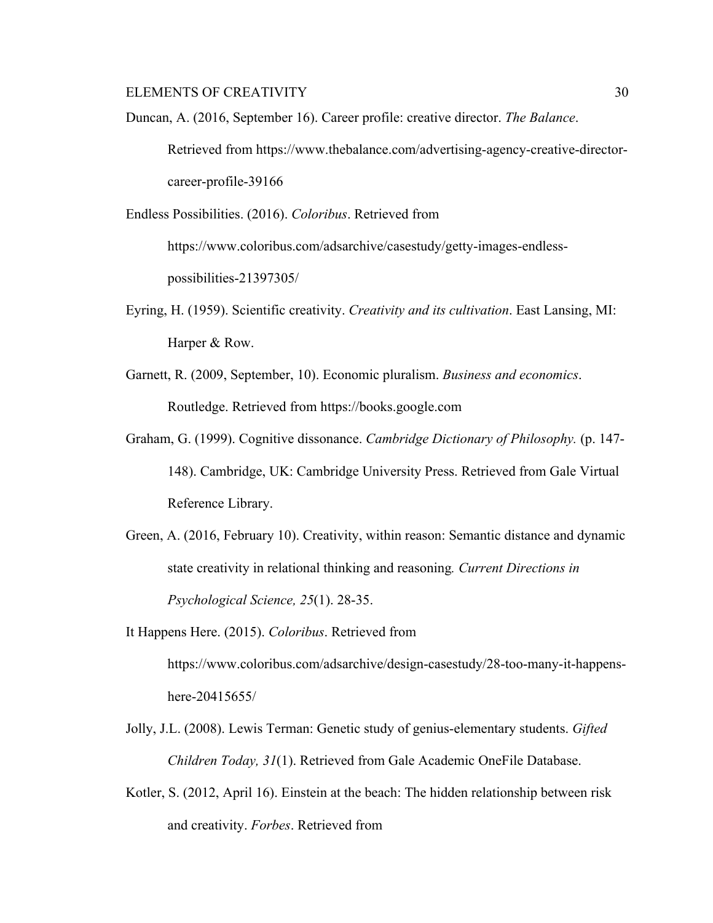Duncan, A. (2016, September 16). Career profile: creative director. *The Balance*. Retrieved from https://www.thebalance.com/advertising-agency-creative-directorcareer-profile-39166

Endless Possibilities. (2016). *Coloribus*. Retrieved from https://www.coloribus.com/adsarchive/casestudy/getty-images-endlesspossibilities-21397305/

- Eyring, H. (1959). Scientific creativity. *Creativity and its cultivation*. East Lansing, MI: Harper & Row.
- Garnett, R. (2009, September, 10). Economic pluralism. *Business and economics*. Routledge. Retrieved from https://books.google.com
- Graham, G. (1999). Cognitive dissonance. *Cambridge Dictionary of Philosophy.* (p. 147- 148). Cambridge, UK: Cambridge University Press. Retrieved from Gale Virtual Reference Library.
- Green, A. (2016, February 10). Creativity, within reason: Semantic distance and dynamic state creativity in relational thinking and reasoning*. Current Directions in Psychological Science, 25*(1). 28-35.
- It Happens Here. (2015). *Coloribus*. Retrieved from https://www.coloribus.com/adsarchive/design-casestudy/28-too-many-it-happenshere-20415655/
- Jolly, J.L. (2008). Lewis Terman: Genetic study of genius-elementary students. *Gifted Children Today, 31*(1). Retrieved from Gale Academic OneFile Database.
- Kotler, S. (2012, April 16). Einstein at the beach: The hidden relationship between risk and creativity. *Forbes*. Retrieved from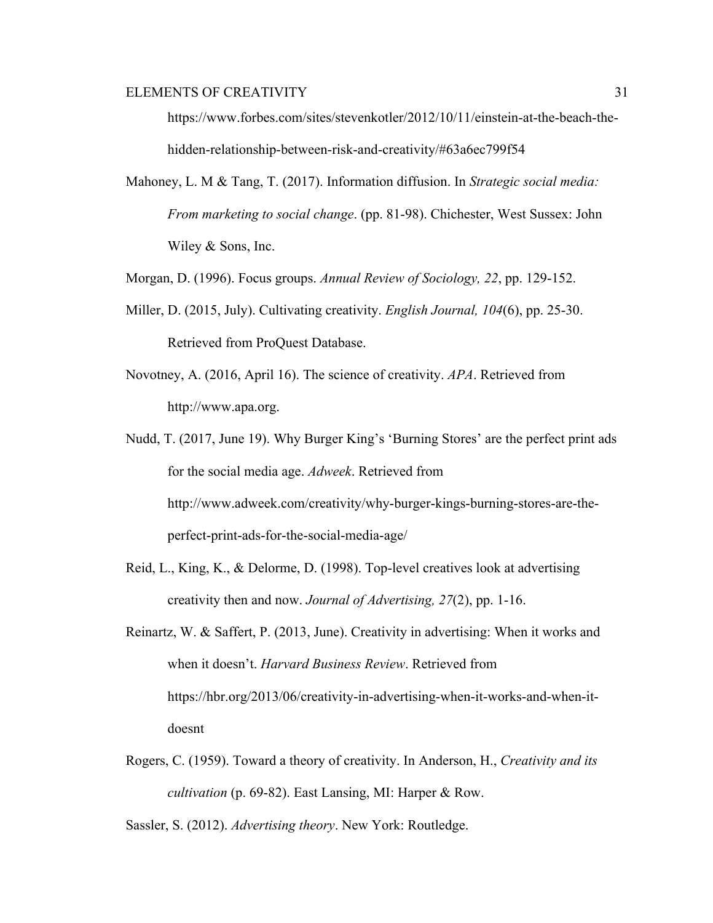https://www.forbes.com/sites/stevenkotler/2012/10/11/einstein-at-the-beach-thehidden-relationship-between-risk-and-creativity/#63a6ec799f54

Mahoney, L. M & Tang, T. (2017). Information diffusion. In *Strategic social media: From marketing to social change*. (pp. 81-98). Chichester, West Sussex: John Wiley & Sons, Inc.

Morgan, D. (1996). Focus groups. *Annual Review of Sociology, 22*, pp. 129-152.

- Miller, D. (2015, July). Cultivating creativity. *English Journal, 104*(6), pp. 25-30. Retrieved from ProQuest Database.
- Novotney, A. (2016, April 16). The science of creativity. *APA*. Retrieved from http://www.apa.org.
- Nudd, T. (2017, June 19). Why Burger King's 'Burning Stores' are the perfect print ads for the social media age. *Adweek*. Retrieved from http://www.adweek.com/creativity/why-burger-kings-burning-stores-are-theperfect-print-ads-for-the-social-media-age/
- Reid, L., King, K., & Delorme, D. (1998). Top-level creatives look at advertising creativity then and now. *Journal of Advertising, 27*(2), pp. 1-16.
- Reinartz, W. & Saffert, P. (2013, June). Creativity in advertising: When it works and when it doesn't. *Harvard Business Review*. Retrieved from https://hbr.org/2013/06/creativity-in-advertising-when-it-works-and-when-itdoesnt
- Rogers, C. (1959). Toward a theory of creativity. In Anderson, H., *Creativity and its cultivation* (p. 69-82). East Lansing, MI: Harper & Row.

Sassler, S. (2012). *Advertising theory*. New York: Routledge.